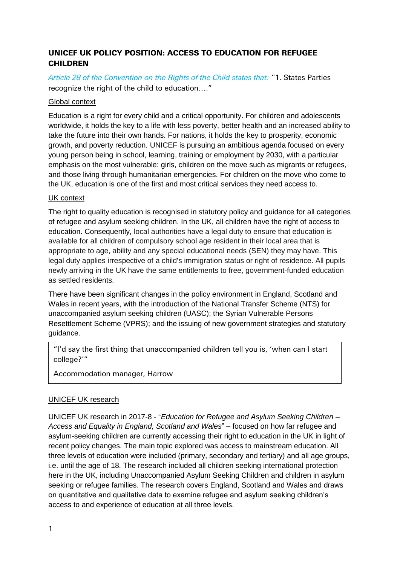# UNICEF UK POLICY POSITION: ACCESS TO EDUCATION FOR REFUGEE CHILDREN

*Article 28 of the Convention on the Rights of the Child states that:* "1. States Parties recognize the right of the child to education…."

## Global context

Education is a right for every child and a critical opportunity. For children and adolescents worldwide, it holds the key to a life with less poverty, better health and an increased ability to take the future into their own hands. For nations, it holds the key to prosperity, economic growth, and poverty reduction. UNICEF is pursuing an ambitious agenda focused on every young person being in school, learning, training or employment by 2030, with a particular emphasis on the most vulnerable: girls, children on the move such as migrants or refugees, and those living through humanitarian emergencies. For children on the move who come to the UK, education is one of the first and most critical services they need access to.

### UK context

The right to quality education is recognised in statutory policy and guidance for all categories of refugee and asylum seeking children. In the UK, all children have the right of access to education. Consequently, local authorities have a legal duty to ensure that education is available for all children of compulsory school age resident in their local area that is appropriate to age, ability and any special educational needs (SEN) they may have. This legal duty applies irrespective of a child's immigration status or right of residence. All pupils newly arriving in the UK have the same entitlements to free, government-funded education as settled residents.

There have been significant changes in the policy environment in England, Scotland and Wales in recent years, with the introduction of the National Transfer Scheme (NTS) for unaccompanied asylum seeking children (UASC); the Syrian Vulnerable Persons Resettlement Scheme (VPRS); and the issuing of new government strategies and statutory guidance.

"I'd say the first thing that unaccompanied children tell you is, 'when can I start college?'"

Accommodation manager, Harrow

# UNICEF UK research

UNICEF UK research in 2017-8 - "*Education for Refugee and Asylum Seeking Children – Access and Equality in England, Scotland and Wales*" – focused on how far refugee and asylum-seeking children are currently accessing their right to education in the UK in light of recent policy changes. The main topic explored was access to mainstream education. All three levels of education were included (primary, secondary and tertiary) and all age groups, i.e. until the age of 18. The research included all children seeking international protection here in the UK, including Unaccompanied Asylum Seeking Children and children in asylum seeking or refugee families. The research covers England, Scotland and Wales and draws on quantitative and qualitative data to examine refugee and asylum seeking children's access to and experience of education at all three levels.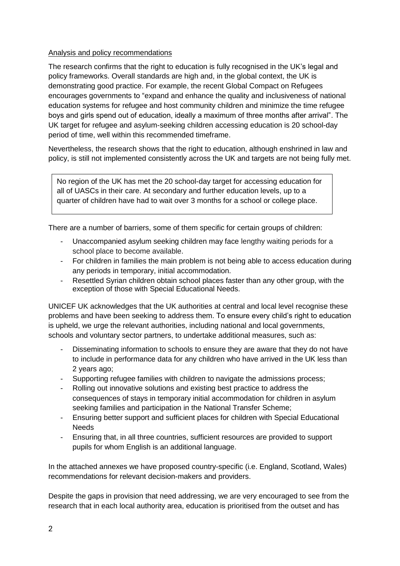### Analysis and policy recommendations

The research confirms that the right to education is fully recognised in the UK's legal and policy frameworks. Overall standards are high and, in the global context, the UK is demonstrating good practice. For example, the recent Global Compact on Refugees encourages governments to "expand and enhance the quality and inclusiveness of national education systems for refugee and host community children and minimize the time refugee boys and girls spend out of education, ideally a maximum of three months after arrival". The UK target for refugee and asylum-seeking children accessing education is 20 school-day period of time, well within this recommended timeframe.

Nevertheless, the research shows that the right to education, although enshrined in law and policy, is still not implemented consistently across the UK and targets are not being fully met.

No region of the UK has met the 20 school-day target for accessing education for all of UASCs in their care. At secondary and further education levels, up to a quarter of children have had to wait over 3 months for a school or college place.

There are a number of barriers, some of them specific for certain groups of children:

- Unaccompanied asylum seeking children may face lengthy waiting periods for a school place to become available.
- For children in families the main problem is not being able to access education during any periods in temporary, initial accommodation.
- Resettled Syrian children obtain school places faster than any other group, with the exception of those with Special Educational Needs.

UNICEF UK acknowledges that the UK authorities at central and local level recognise these problems and have been seeking to address them. To ensure every child's right to education is upheld, we urge the relevant authorities, including national and local governments, schools and voluntary sector partners, to undertake additional measures, such as:

- Disseminating information to schools to ensure they are aware that they do not have to include in performance data for any children who have arrived in the UK less than 2 years ago;
- Supporting refugee families with children to navigate the admissions process;
- Rolling out innovative solutions and existing best practice to address the consequences of stays in temporary initial accommodation for children in asylum seeking families and participation in the National Transfer Scheme;
- Ensuring better support and sufficient places for children with Special Educational **Needs**
- Ensuring that, in all three countries, sufficient resources are provided to support pupils for whom English is an additional language.

In the attached annexes we have proposed country-specific (i.e. England, Scotland, Wales) recommendations for relevant decision-makers and providers.

Despite the gaps in provision that need addressing, we are very encouraged to see from the research that in each local authority area, education is prioritised from the outset and has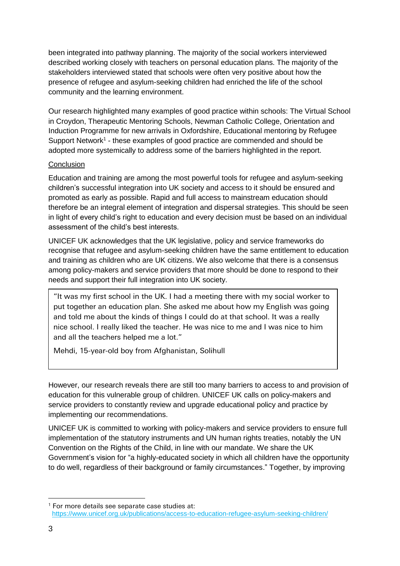been integrated into pathway planning. The majority of the social workers interviewed described working closely with teachers on personal education plans. The majority of the stakeholders interviewed stated that schools were often very positive about how the presence of refugee and asylum-seeking children had enriched the life of the school community and the learning environment.

Our research highlighted many examples of good practice within schools: The Virtual School in Croydon, Therapeutic Mentoring Schools, Newman Catholic College, Orientation and Induction Programme for new arrivals in Oxfordshire, Educational mentoring by Refugee Support Network<sup>1</sup> - these examples of good practice are commended and should be adopted more systemically to address some of the barriers highlighted in the report.

#### **Conclusion**

Education and training are among the most powerful tools for refugee and asylum-seeking children's successful integration into UK society and access to it should be ensured and promoted as early as possible. Rapid and full access to mainstream education should therefore be an integral element of integration and dispersal strategies. This should be seen in light of every child's right to education and every decision must be based on an individual assessment of the child's best interests.

UNICEF UK acknowledges that the UK legislative, policy and service frameworks do recognise that refugee and asylum-seeking children have the same entitlement to education and training as children who are UK citizens. We also welcome that there is a consensus among policy-makers and service providers that more should be done to respond to their needs and support their full integration into UK society.

"It was my first school in the UK. I had a meeting there with my social worker to put together an education plan. She asked me about how my English was going and told me about the kinds of things I could do at that school. It was a really nice school. I really liked the teacher. He was nice to me and I was nice to him and all the teachers helped me a lot."

Mehdi, 15-year-old boy from Afghanistan, Solihull

However, our research reveals there are still too many barriers to access to and provision of education for this vulnerable group of children. UNICEF UK calls on policy-makers and service providers to constantly review and upgrade educational policy and practice by implementing our recommendations.

UNICEF UK is committed to working with policy-makers and service providers to ensure full implementation of the statutory instruments and UN human rights treaties, notably the UN Convention on the Rights of the Child, in line with our mandate. We share the UK Government's vision for "a highly-educated society in which all children have the opportunity to do well, regardless of their background or family circumstances." Together, by improving

-

 $1$  For more details see separate case studies at: <https://www.unicef.org.uk/publications/access-to-education-refugee-asylum-seeking-children/>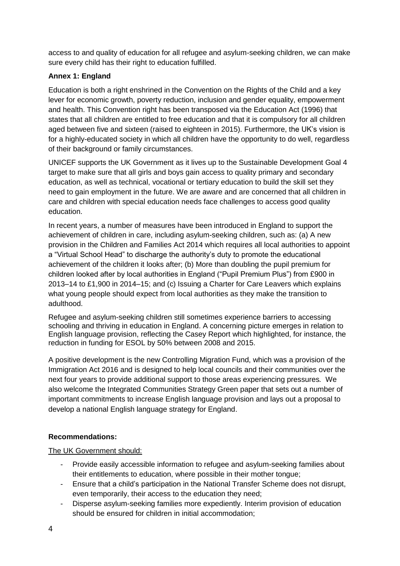access to and quality of education for all refugee and asylum-seeking children, we can make sure every child has their right to education fulfilled.

# **Annex 1: England**

Education is both a right enshrined in the Convention on the Rights of the Child and a key lever for economic growth, poverty reduction, inclusion and gender equality, empowerment and health. This Convention right has been transposed via the Education Act (1996) that states that all children are entitled to free education and that it is compulsory for all children aged between five and sixteen (raised to eighteen in 2015). Furthermore, the UK's vision is for a highly-educated society in which all children have the opportunity to do well, regardless of their background or family circumstances.

UNICEF supports the UK Government as it lives up to the Sustainable Development Goal 4 target to make sure that all girls and boys gain access to quality primary and secondary education, as well as technical, vocational or tertiary education to build the skill set they need to gain employment in the future. We are aware and are concerned that all children in care and children with special education needs face challenges to access good quality education.

In recent years, a number of measures have been introduced in England to support the achievement of children in care, including asylum-seeking children, such as: (a) A new provision in the Children and Families Act 2014 which requires all local authorities to appoint a "Virtual School Head" to discharge the authority's duty to promote the educational achievement of the children it looks after; (b) More than doubling the pupil premium for children looked after by local authorities in England ("Pupil Premium Plus") from £900 in 2013–14 to £1,900 in 2014–15; and (c) Issuing a Charter for Care Leavers which explains what young people should expect from local authorities as they make the transition to adulthood.

Refugee and asylum-seeking children still sometimes experience barriers to accessing schooling and thriving in education in England. A concerning picture emerges in relation to English language provision, reflecting the Casey Report which highlighted, for instance, the reduction in funding for ESOL by 50% between 2008 and 2015.

A positive development is the new Controlling Migration Fund, which was a provision of the Immigration Act 2016 and is designed to help local councils and their communities over the next four years to provide additional support to those areas experiencing pressures*.* We also welcome the Integrated Communities Strategy Green paper that sets out a number of important commitments to increase English language provision and lays out a proposal to develop a national English language strategy for England.

# **Recommendations:**

# The UK Government should:

- Provide easily accessible information to refugee and asylum-seeking families about their entitlements to education, where possible in their mother tongue;
- Ensure that a child's participation in the National Transfer Scheme does not disrupt, even temporarily, their access to the education they need;
- Disperse asylum-seeking families more expediently. Interim provision of education should be ensured for children in initial accommodation;